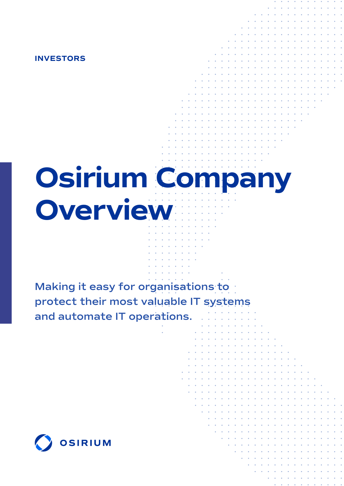**INVESTORS**

# **Osirium Company Overview**

**Making it easy for organisations to protect their most valuable IT systems and automate IT operations.**

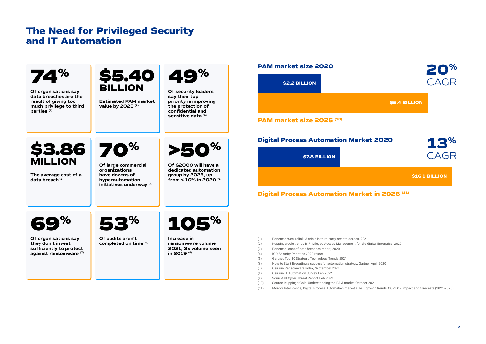## **The Need for Privileged Security and IT Automation**

- (9) SonicWall Cyber Threat Report, Feb 2022
- (10) Source: KuppingerCole: Understanding the PAM market October 2021
- (11) Mordor Intelligence, Digital Process Automation market size growth trends, COVID19 Impact and forecasts (2021-2026)







#### **\$5.4 BILLION**

#### **\$16.1 BILLION**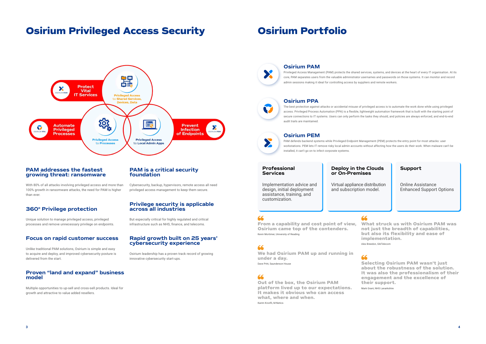# **Osirium Privileged Access Security Osirium Portfolio**



#### **PAM addresses the fastest growing threat: ransomware**

With 80% of all attacks involving privileged access and more than 100% growth in ransomware attacks, the need for PAM is higher than ever.

### **360° Privilege protection**

Unique solution to manage privileged access, privileged processes and remove unnecessary privilege on endpoints.

#### **PAM is a critical security foundation**

Cybersecurity, backup, hypervisors, remote access all need privileged access management to keep them secure.

#### **Privilege security is applicable across all industries**

But especially critical for highly regulated and critical infrastructure such as NHS, finance, and telecoms.

#### **Focus on rapid customer success**

Unlike traditional PAM solutions, Osirium is simple and easy to acquire and deploy, and improved cybersecurity posture is delivered from the start.

#### **Proven "land and expand" business model**

Multiple opportunities to up-sell and cross-sell products. Ideal for growth and attractive to value added resellers.

#### **Rapid growth built on 25 years' cybersecurity experience**

Osirium leadership has a proven track record of growing innovative cybersecurity start-ups.



#### **Osirium PAM**

Privileged Access Management (PAM) protects the shared services, systems, and devices at the heart of every IT organisation. At its core, PAM separates users from the valuable administrator usernames and passwords on those systems. It can monitor and record admin sessions making it ideal for controlling access by suppliers and remote workers.

### **Osirium PPA**

The best protection against attacks or accidental misuse of privileged access is to automate the work done while using privileged access. Privileged Process Automation (PPA) is a flexible, lightweight automation framework that is built with the starting point of secure connections to IT systems. Users can only perform the tasks they should, and policies are always enforced, and end-to-end audit trails are maintained.

#### **Osirium PEM**

PAM defends backend systems while Privileged Endpoint Management (PEM) protects the entry point for most attacks: user workstations. PEM lets IT remove risky local admin accounts without affecting how the users do their work. When malware can't be installed, it can't go on to infect corporate systems.

#### **Professional Services**

Implementation advice and design, initial deployment assistance, training, and customization.

# **Deploy in the Clouds**

# **or On-Premises**

### 66

Virtual appliance distribution and subscription model.

#### **Support**

Online Assistance Enhanced Support Options

**From a capability and cost point of view, Osirium came top of the contenders.** Kevin Mortimer, University of Reading

**We had Osirium PAM up and running in under a day.** Dave Pritt, Saunderson House

66

**What struck us with Osirium PAM was not just the breadth of capabilities, but also its flexibility and ease of implementation.**

Alex Breedon, GibTelecom

### 66

**Out of the box, the Osirium PAM platform lived up to our expectations. It makes it obvious who can access what, where and when.** Karim Kronfli, M-Netics



**Selecting Osirium PAM wasn't just about the robustness of the solution. It was also the professionalism of their engagement and the excellence of their support.**

Mark Grant, NHS Lanarkshire